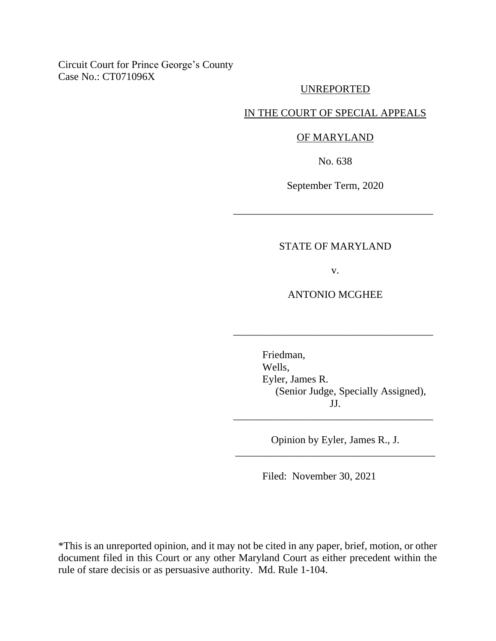## Circuit Court for Prince George's County Case No.: CT071096X

### UNREPORTED

### IN THE COURT OF SPECIAL APPEALS

#### OF MARYLAND

No. 638

September Term, 2020

\_\_\_\_\_\_\_\_\_\_\_\_\_\_\_\_\_\_\_\_\_\_\_\_\_\_\_\_\_\_\_\_\_\_\_\_\_\_

## STATE OF MARYLAND

v.

ANTONIO MCGHEE

\_\_\_\_\_\_\_\_\_\_\_\_\_\_\_\_\_\_\_\_\_\_\_\_\_\_\_\_\_\_\_\_\_\_\_\_\_\_

Friedman, Wells, Eyler, James R. (Senior Judge, Specially Assigned), JJ.

Opinion by Eyler, James R., J. \_\_\_\_\_\_\_\_\_\_\_\_\_\_\_\_\_\_\_\_\_\_\_\_\_\_\_\_\_\_\_\_\_\_\_\_\_\_

\_\_\_\_\_\_\_\_\_\_\_\_\_\_\_\_\_\_\_\_\_\_\_\_\_\_\_\_\_\_\_\_\_\_\_\_\_\_

Filed: November 30, 2021

\*This is an unreported opinion, and it may not be cited in any paper, brief, motion, or other document filed in this Court or any other Maryland Court as either precedent within the rule of stare decisis or as persuasive authority. Md. Rule 1-104.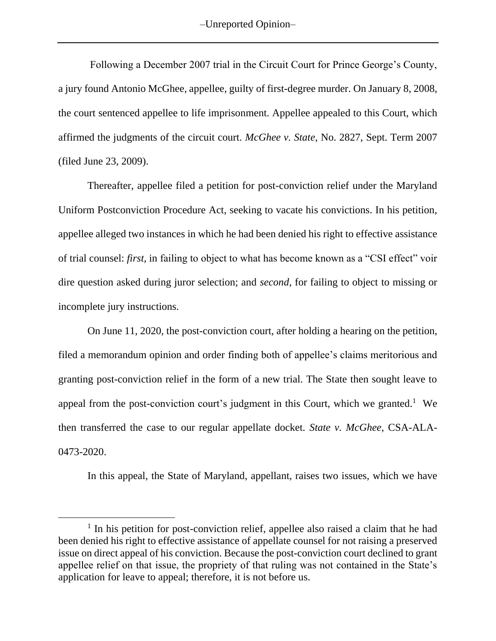Following a December 2007 trial in the Circuit Court for Prince George's County, a jury found Antonio McGhee, appellee, guilty of first-degree murder. On January 8, 2008, the court sentenced appellee to life imprisonment. Appellee appealed to this Court, which affirmed the judgments of the circuit court. *McGhee v. State*, No. 2827, Sept. Term 2007 (filed June 23, 2009).

Thereafter, appellee filed a petition for post-conviction relief under the Maryland Uniform Postconviction Procedure Act, seeking to vacate his convictions. In his petition, appellee alleged two instances in which he had been denied his right to effective assistance of trial counsel: *first*, in failing to object to what has become known as a "CSI effect" voir dire question asked during juror selection; and *second*, for failing to object to missing or incomplete jury instructions.

On June 11, 2020, the post-conviction court, after holding a hearing on the petition, filed a memorandum opinion and order finding both of appellee's claims meritorious and granting post-conviction relief in the form of a new trial. The State then sought leave to appeal from the post-conviction court's judgment in this Court, which we granted.<sup>1</sup> We then transferred the case to our regular appellate docket. *State v. McGhee*, CSA-ALA-0473-2020.

In this appeal, the State of Maryland, appellant, raises two issues, which we have

<sup>&</sup>lt;sup>1</sup> In his petition for post-conviction relief, appellee also raised a claim that he had been denied his right to effective assistance of appellate counsel for not raising a preserved issue on direct appeal of his conviction. Because the post-conviction court declined to grant appellee relief on that issue, the propriety of that ruling was not contained in the State's application for leave to appeal; therefore, it is not before us.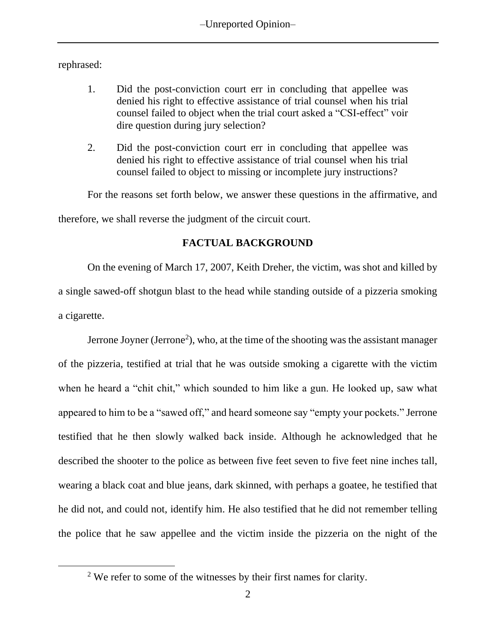rephrased:

- 1. Did the post-conviction court err in concluding that appellee was denied his right to effective assistance of trial counsel when his trial counsel failed to object when the trial court asked a "CSI-effect" voir dire question during jury selection?
- 2. Did the post-conviction court err in concluding that appellee was denied his right to effective assistance of trial counsel when his trial counsel failed to object to missing or incomplete jury instructions?

For the reasons set forth below, we answer these questions in the affirmative, and therefore, we shall reverse the judgment of the circuit court.

# **FACTUAL BACKGROUND**

On the evening of March 17, 2007, Keith Dreher, the victim, was shot and killed by a single sawed-off shotgun blast to the head while standing outside of a pizzeria smoking a cigarette.

Jerrone Joyner (Jerrone<sup>2</sup>), who, at the time of the shooting was the assistant manager of the pizzeria, testified at trial that he was outside smoking a cigarette with the victim when he heard a "chit chit," which sounded to him like a gun. He looked up, saw what appeared to him to be a "sawed off," and heard someone say "empty your pockets." Jerrone testified that he then slowly walked back inside. Although he acknowledged that he described the shooter to the police as between five feet seven to five feet nine inches tall, wearing a black coat and blue jeans, dark skinned, with perhaps a goatee, he testified that he did not, and could not, identify him. He also testified that he did not remember telling the police that he saw appellee and the victim inside the pizzeria on the night of the

<sup>&</sup>lt;sup>2</sup> We refer to some of the witnesses by their first names for clarity.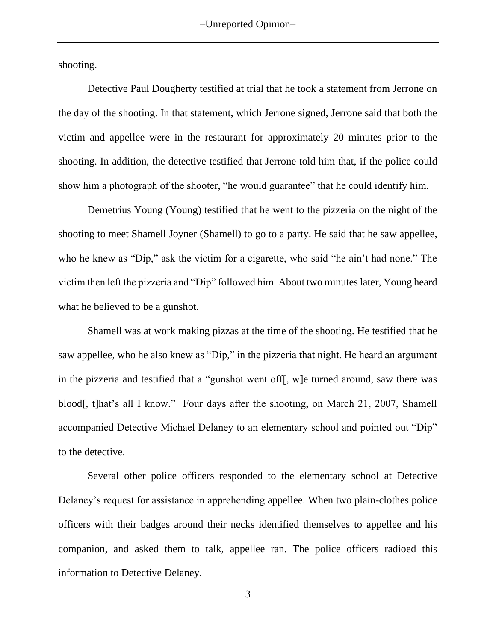shooting.

Detective Paul Dougherty testified at trial that he took a statement from Jerrone on the day of the shooting. In that statement, which Jerrone signed, Jerrone said that both the victim and appellee were in the restaurant for approximately 20 minutes prior to the shooting. In addition, the detective testified that Jerrone told him that, if the police could show him a photograph of the shooter, "he would guarantee" that he could identify him.

Demetrius Young (Young) testified that he went to the pizzeria on the night of the shooting to meet Shamell Joyner (Shamell) to go to a party. He said that he saw appellee, who he knew as "Dip," ask the victim for a cigarette, who said "he ain't had none." The victim then left the pizzeria and "Dip" followed him. About two minutes later, Young heard what he believed to be a gunshot.

Shamell was at work making pizzas at the time of the shooting. He testified that he saw appellee, who he also knew as "Dip," in the pizzeria that night. He heard an argument in the pizzeria and testified that a "gunshot went off[, w]e turned around, saw there was blood[, t]hat's all I know." Four days after the shooting, on March 21, 2007, Shamell accompanied Detective Michael Delaney to an elementary school and pointed out "Dip" to the detective.

Several other police officers responded to the elementary school at Detective Delaney's request for assistance in apprehending appellee. When two plain-clothes police officers with their badges around their necks identified themselves to appellee and his companion, and asked them to talk, appellee ran. The police officers radioed this information to Detective Delaney.

3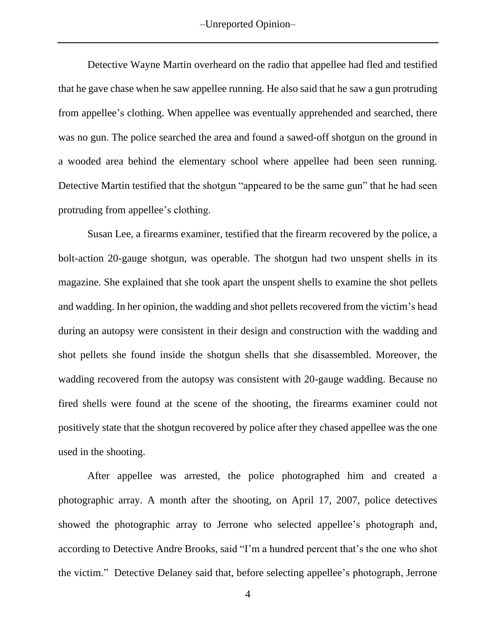-Unreported Opinion-

Detective Wayne Martin overheard on the radio that appellee had fled and testified that he gave chase when he saw appellee running. He also said that he saw a gun protruding from appellee's clothing. When appellee was eventually apprehended and searched, there was no gun. The police searched the area and found a sawed-off shotgun on the ground in a wooded area behind the elementary school where appellee had been seen running. Detective Martin testified that the shotgun "appeared to be the same gun" that he had seen protruding from appellee's clothing.

Susan Lee, a firearms examiner, testified that the firearm recovered by the police, a bolt-action 20-gauge shotgun, was operable. The shotgun had two unspent shells in its magazine. She explained that she took apart the unspent shells to examine the shot pellets and wadding. In her opinion, the wadding and shot pellets recovered from the victim's head during an autopsy were consistent in their design and construction with the wadding and shot pellets she found inside the shotgun shells that she disassembled. Moreover, the wadding recovered from the autopsy was consistent with 20-gauge wadding. Because no fired shells were found at the scene of the shooting, the firearms examiner could not positively state that the shotgun recovered by police after they chased appellee was the one used in the shooting.

After appellee was arrested, the police photographed him and created a photographic array. A month after the shooting, on April 17, 2007, police detectives showed the photographic array to Jerrone who selected appellee's photograph and, according to Detective Andre Brooks, said "I'm a hundred percent that's the one who shot the victim." Detective Delaney said that, before selecting appellee's photograph, Jerrone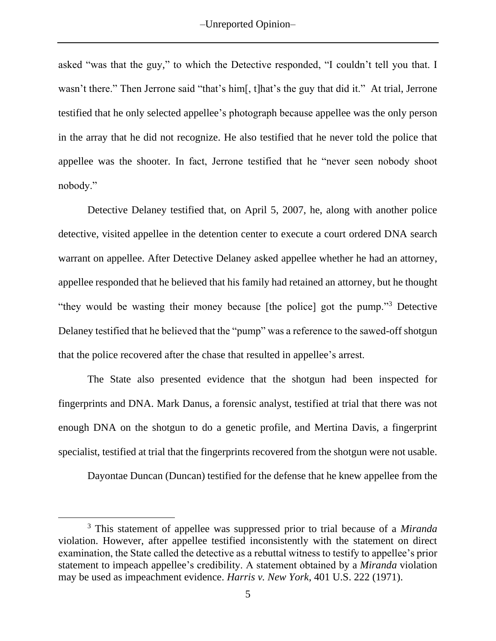asked "was that the guy," to which the Detective responded, "I couldn't tell you that. I wasn't there." Then Jerrone said "that's him[, t]hat's the guy that did it." At trial, Jerrone testified that he only selected appellee's photograph because appellee was the only person in the array that he did not recognize. He also testified that he never told the police that appellee was the shooter. In fact, Jerrone testified that he "never seen nobody shoot nobody."

Detective Delaney testified that, on April 5, 2007, he, along with another police detective, visited appellee in the detention center to execute a court ordered DNA search warrant on appellee. After Detective Delaney asked appellee whether he had an attorney, appellee responded that he believed that his family had retained an attorney, but he thought "they would be wasting their money because [the police] got the pump."<sup>3</sup> Detective Delaney testified that he believed that the "pump" was a reference to the sawed-off shotgun that the police recovered after the chase that resulted in appellee's arrest.

The State also presented evidence that the shotgun had been inspected for fingerprints and DNA. Mark Danus, a forensic analyst, testified at trial that there was not enough DNA on the shotgun to do a genetic profile, and Mertina Davis, a fingerprint specialist, testified at trial that the fingerprints recovered from the shotgun were not usable.

Dayontae Duncan (Duncan) testified for the defense that he knew appellee from the

<sup>3</sup> This statement of appellee was suppressed prior to trial because of a *Miranda* violation. However, after appellee testified inconsistently with the statement on direct examination, the State called the detective as a rebuttal witness to testify to appellee's prior statement to impeach appellee's credibility. A statement obtained by a *Miranda* violation may be used as impeachment evidence. *Harris v. New York*, 401 U.S. 222 (1971).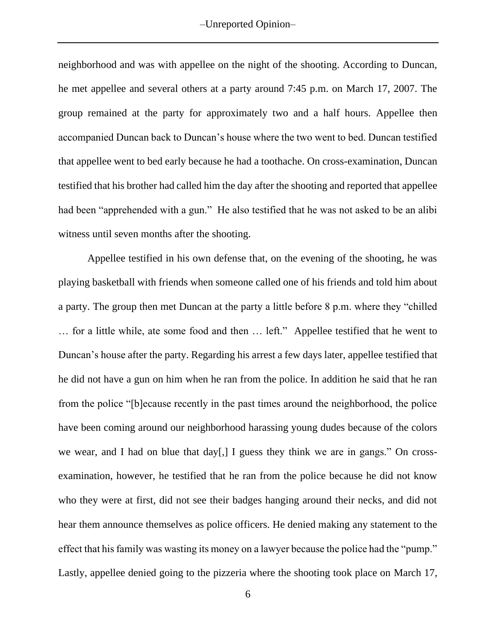-Unreported Opinion-

neighborhood and was with appellee on the night of the shooting. According to Duncan, he met appellee and several others at a party around 7:45 p.m. on March 17, 2007. The group remained at the party for approximately two and a half hours. Appellee then accompanied Duncan back to Duncan's house where the two went to bed. Duncan testified that appellee went to bed early because he had a toothache. On cross-examination, Duncan testified that his brother had called him the day after the shooting and reported that appellee had been "apprehended with a gun." He also testified that he was not asked to be an alibi witness until seven months after the shooting.

Appellee testified in his own defense that, on the evening of the shooting, he was playing basketball with friends when someone called one of his friends and told him about a party. The group then met Duncan at the party a little before 8 p.m. where they "chilled … for a little while, ate some food and then … left." Appellee testified that he went to Duncan's house after the party. Regarding his arrest a few days later, appellee testified that he did not have a gun on him when he ran from the police. In addition he said that he ran from the police "[b]ecause recently in the past times around the neighborhood, the police have been coming around our neighborhood harassing young dudes because of the colors we wear, and I had on blue that day[,] I guess they think we are in gangs." On crossexamination, however, he testified that he ran from the police because he did not know who they were at first, did not see their badges hanging around their necks, and did not hear them announce themselves as police officers. He denied making any statement to the effect that his family was wasting its money on a lawyer because the police had the "pump." Lastly, appellee denied going to the pizzeria where the shooting took place on March 17,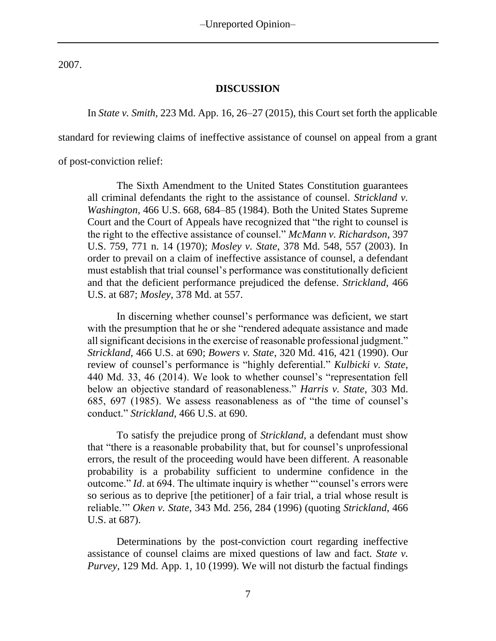2007.

# **DISCUSSION**

In *State v. Smith*, 223 Md. App. 16, 26–27 (2015), this Court set forth the applicable

standard for reviewing claims of ineffective assistance of counsel on appeal from a grant

of post-conviction relief:

The Sixth Amendment to the United States Constitution guarantees all criminal defendants the right to the assistance of counsel. *Strickland v. Washington*, 466 U.S. 668, 684–85 (1984). Both the United States Supreme Court and the Court of Appeals have recognized that "the right to counsel is the right to the effective assistance of counsel." *McMann v. Richardson*, 397 U.S. 759, 771 n. 14 (1970); *Mosley v. State*, 378 Md. 548, 557 (2003). In order to prevail on a claim of ineffective assistance of counsel, a defendant must establish that trial counsel's performance was constitutionally deficient and that the deficient performance prejudiced the defense. *Strickland*, 466 U.S. at 687; *Mosley*, 378 Md. at 557.

In discerning whether counsel's performance was deficient, we start with the presumption that he or she "rendered adequate assistance and made all significant decisions in the exercise of reasonable professional judgment." *Strickland*, 466 U.S. at 690; *Bowers v. State*, 320 Md. 416, 421 (1990). Our review of counsel's performance is "highly deferential." *Kulbicki v. State*, 440 Md. 33, 46 (2014). We look to whether counsel's "representation fell below an objective standard of reasonableness." *Harris v. State*, 303 Md. 685, 697 (1985). We assess reasonableness as of "the time of counsel's conduct." *Strickland*, 466 U.S. at 690.

To satisfy the prejudice prong of *Strickland*, a defendant must show that "there is a reasonable probability that, but for counsel's unprofessional errors, the result of the proceeding would have been different. A reasonable probability is a probability sufficient to undermine confidence in the outcome." *Id*. at 694. The ultimate inquiry is whether "'counsel's errors were so serious as to deprive [the petitioner] of a fair trial, a trial whose result is reliable.'" *Oken v. State*, 343 Md. 256, 284 (1996) (quoting *Strickland*, 466 U.S. at 687).

Determinations by the post-conviction court regarding ineffective assistance of counsel claims are mixed questions of law and fact. *State v. Purvey*, 129 Md. App. 1, 10 (1999). We will not disturb the factual findings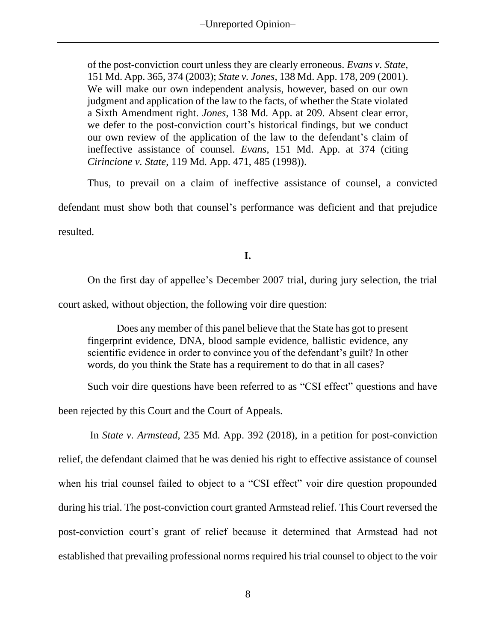of the post-conviction court unless they are clearly erroneous. *Evans v. State*, 151 Md. App. 365, 374 (2003); *State v. Jones*, 138 Md. App. 178, 209 (2001). We will make our own independent analysis, however, based on our own judgment and application of the law to the facts, of whether the State violated a Sixth Amendment right. *Jones*, 138 Md. App. at 209. Absent clear error, we defer to the post-conviction court's historical findings, but we conduct our own review of the application of the law to the defendant's claim of ineffective assistance of counsel. *Evans*, 151 Md. App. at 374 (citing *Cirincione v. State*, 119 Md. App. 471, 485 (1998)).

Thus, to prevail on a claim of ineffective assistance of counsel, a convicted defendant must show both that counsel's performance was deficient and that prejudice resulted.

**I.**

On the first day of appellee's December 2007 trial, during jury selection, the trial court asked, without objection, the following voir dire question:

Does any member of this panel believe that the State has got to present fingerprint evidence, DNA, blood sample evidence, ballistic evidence, any scientific evidence in order to convince you of the defendant's guilt? In other words, do you think the State has a requirement to do that in all cases?

Such voir dire questions have been referred to as "CSI effect" questions and have

been rejected by this Court and the Court of Appeals.

In *State v. Armstead*, 235 Md. App. 392 (2018), in a petition for post-conviction relief, the defendant claimed that he was denied his right to effective assistance of counsel when his trial counsel failed to object to a "CSI effect" voir dire question propounded during his trial. The post-conviction court granted Armstead relief. This Court reversed the post-conviction court's grant of relief because it determined that Armstead had not established that prevailing professional norms required his trial counsel to object to the voir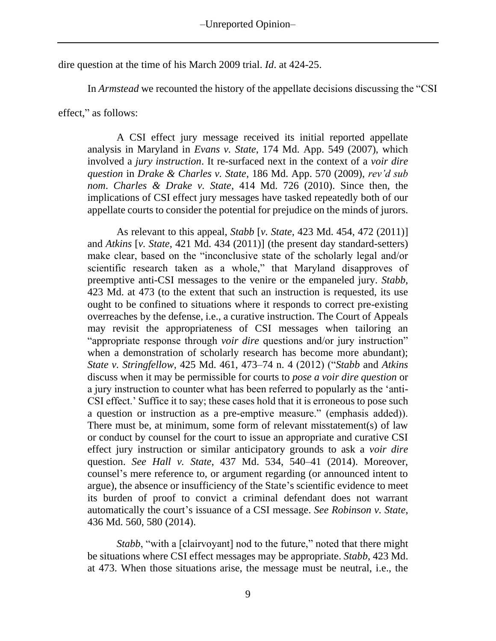dire question at the time of his March 2009 trial. *Id*. at 424-25.

In *Armstead* we recounted the history of the appellate decisions discussing the "CSI

effect," as follows:

A CSI effect jury message received its initial reported appellate analysis in Maryland in *Evans v. State*, 174 Md. App. 549 (2007), which involved a *jury instruction*. It re-surfaced next in the context of a *voir dire question* in *Drake & Charles v. State*, 186 Md. App. 570 (2009), *rev'd sub nom*. *Charles & Drake v. State*, 414 Md. 726 (2010). Since then, the implications of CSI effect jury messages have tasked repeatedly both of our appellate courts to consider the potential for prejudice on the minds of jurors.

As relevant to this appeal, *Stabb* [*v. State*, 423 Md. 454, 472 (2011)] and *Atkins* [*v. State*, 421 Md. 434 (2011)] (the present day standard-setters) make clear, based on the "inconclusive state of the scholarly legal and/or scientific research taken as a whole," that Maryland disapproves of preemptive anti-CSI messages to the venire or the empaneled jury. *Stabb*, 423 Md. at 473 (to the extent that such an instruction is requested, its use ought to be confined to situations where it responds to correct pre-existing overreaches by the defense, i.e., a curative instruction. The Court of Appeals may revisit the appropriateness of CSI messages when tailoring an "appropriate response through *voir dire* questions and/or jury instruction" when a demonstration of scholarly research has become more abundant); *State v. Stringfellow*, 425 Md. 461, 473–74 n. 4 (2012) ("*Stabb* and *Atkins* discuss when it may be permissible for courts to *pose a voir dire question* or a jury instruction to counter what has been referred to popularly as the 'anti-CSI effect.' Suffice it to say; these cases hold that it is erroneous to pose such a question or instruction as a pre-emptive measure." (emphasis added)). There must be, at minimum, some form of relevant misstatement(s) of law or conduct by counsel for the court to issue an appropriate and curative CSI effect jury instruction or similar anticipatory grounds to ask a *voir dire* question. *See Hall v. State*, 437 Md. 534, 540–41 (2014). Moreover, counsel's mere reference to, or argument regarding (or announced intent to argue), the absence or insufficiency of the State's scientific evidence to meet its burden of proof to convict a criminal defendant does not warrant automatically the court's issuance of a CSI message. *See Robinson v. State*, 436 Md. 560, 580 (2014).

*Stabb*, "with a [clairvoyant] nod to the future," noted that there might be situations where CSI effect messages may be appropriate. *Stabb*, 423 Md. at 473. When those situations arise, the message must be neutral, i.e., the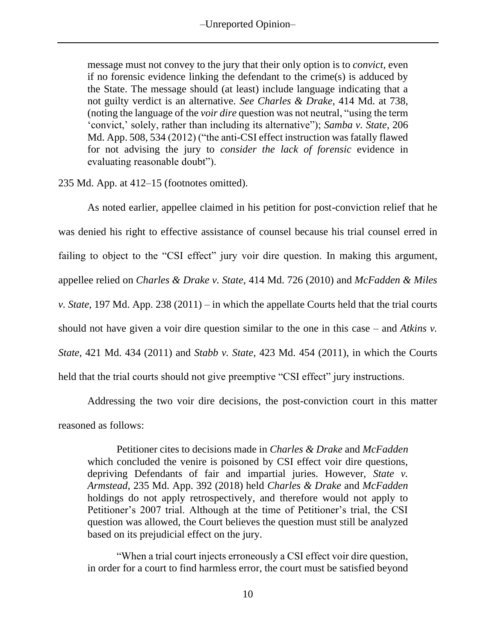message must not convey to the jury that their only option is to *convict*, even if no forensic evidence linking the defendant to the crime(s) is adduced by the State. The message should (at least) include language indicating that a not guilty verdict is an alternative. *See Charles & Drake*, 414 Md. at 738, (noting the language of the *voir dire* question was not neutral, "using the term 'convict,' solely, rather than including its alternative"); *Samba v. State*, 206 Md. App. 508, 534 (2012) ("the anti-CSI effect instruction was fatally flawed for not advising the jury to *consider the lack of forensic* evidence in evaluating reasonable doubt").

235 Md. App. at 412–15 (footnotes omitted).

As noted earlier, appellee claimed in his petition for post-conviction relief that he was denied his right to effective assistance of counsel because his trial counsel erred in failing to object to the "CSI effect" jury voir dire question. In making this argument, appellee relied on *Charles & Drake v. State*, 414 Md. 726 (2010) and *McFadden & Miles v. State*, 197 Md. App. 238 (2011) – in which the appellate Courts held that the trial courts should not have given a voir dire question similar to the one in this case – and *Atkins v. State*, 421 Md. 434 (2011) and *Stabb v. State*, 423 Md. 454 (2011), in which the Courts held that the trial courts should not give preemptive "CSI effect" jury instructions.

Addressing the two voir dire decisions, the post-conviction court in this matter reasoned as follows:

Petitioner cites to decisions made in *Charles & Drake* and *McFadden* which concluded the venire is poisoned by CSI effect voir dire questions, depriving Defendants of fair and impartial juries. However, *State v. Armstead*, 235 Md. App. 392 (2018) held *Charles & Drake* and *McFadden* holdings do not apply retrospectively, and therefore would not apply to Petitioner's 2007 trial. Although at the time of Petitioner's trial, the CSI question was allowed, the Court believes the question must still be analyzed based on its prejudicial effect on the jury.

"When a trial court injects erroneously a CSI effect voir dire question, in order for a court to find harmless error, the court must be satisfied beyond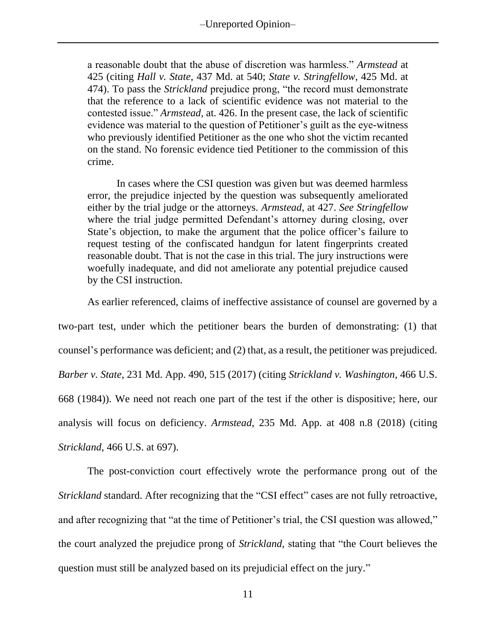–Unreported Opinion–

a reasonable doubt that the abuse of discretion was harmless." *Armstead* at 425 (citing *Hall v. State*, 437 Md. at 540; *State v. Stringfellow*, 425 Md. at 474). To pass the *Strickland* prejudice prong, "the record must demonstrate that the reference to a lack of scientific evidence was not material to the contested issue." *Armstead*, at. 426. In the present case, the lack of scientific evidence was material to the question of Petitioner's guilt as the eye-witness who previously identified Petitioner as the one who shot the victim recanted on the stand. No forensic evidence tied Petitioner to the commission of this crime.

In cases where the CSI question was given but was deemed harmless error, the prejudice injected by the question was subsequently ameliorated either by the trial judge or the attorneys. *Armstead*, at 427. *See Stringfellow* where the trial judge permitted Defendant's attorney during closing, over State's objection, to make the argument that the police officer's failure to request testing of the confiscated handgun for latent fingerprints created reasonable doubt. That is not the case in this trial. The jury instructions were woefully inadequate, and did not ameliorate any potential prejudice caused by the CSI instruction.

As earlier referenced, claims of ineffective assistance of counsel are governed by a two-part test, under which the petitioner bears the burden of demonstrating: (1) that counsel's performance was deficient; and (2) that, as a result, the petitioner was prejudiced. *Barber v. State*, 231 Md. App. 490, 515 (2017) (citing *Strickland v. Washington*, 466 U.S. 668 (1984)). We need not reach one part of the test if the other is dispositive; here, our analysis will focus on deficiency. *Armstead*, 235 Md. App. at 408 n.8 (2018) (citing *Strickland*, 466 U.S. at 697).

The post-conviction court effectively wrote the performance prong out of the *Strickland* standard. After recognizing that the "CSI effect" cases are not fully retroactive, and after recognizing that "at the time of Petitioner's trial, the CSI question was allowed," the court analyzed the prejudice prong of *Strickland*, stating that "the Court believes the question must still be analyzed based on its prejudicial effect on the jury."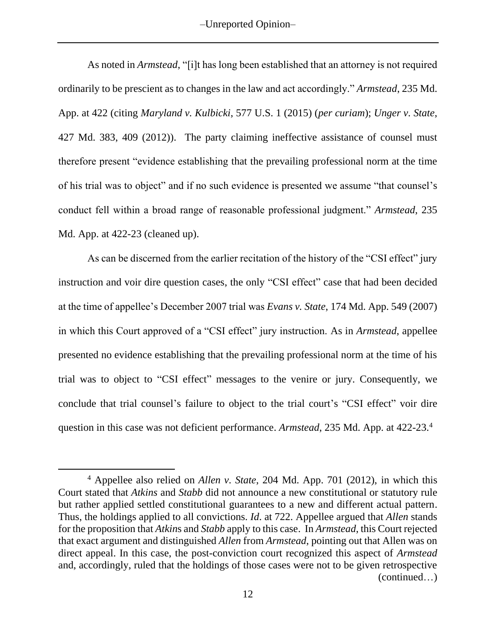–Unreported Opinion–

As noted in *Armstead*, "[i]t has long been established that an attorney is not required ordinarily to be prescient as to changes in the law and act accordingly." *Armstead*, 235 Md. App. at 422 (citing *Maryland v. Kulbicki*, 577 U.S. 1 (2015) (*per curiam*); *Unger v. State*, 427 Md. 383, 409 (2012)). The party claiming ineffective assistance of counsel must therefore present "evidence establishing that the prevailing professional norm at the time of his trial was to object" and if no such evidence is presented we assume "that counsel's conduct fell within a broad range of reasonable professional judgment." *Armstead*, 235 Md. App. at 422-23 (cleaned up).

As can be discerned from the earlier recitation of the history of the "CSI effect" jury instruction and voir dire question cases, the only "CSI effect" case that had been decided at the time of appellee's December 2007 trial was *Evans v. State*, 174 Md. App. 549 (2007) in which this Court approved of a "CSI effect" jury instruction. As in *Armstead*, appellee presented no evidence establishing that the prevailing professional norm at the time of his trial was to object to "CSI effect" messages to the venire or jury. Consequently, we conclude that trial counsel's failure to object to the trial court's "CSI effect" voir dire question in this case was not deficient performance. *Armstead*, 235 Md. App. at 422-23.<sup>4</sup>

<sup>4</sup> Appellee also relied on *Allen v. State*, 204 Md. App. 701 (2012), in which this Court stated that *Atkins* and *Stabb* did not announce a new constitutional or statutory rule but rather applied settled constitutional guarantees to a new and different actual pattern. Thus, the holdings applied to all convictions. *Id*. at 722. Appellee argued that *Allen* stands for the proposition that *Atkin*s and *Stabb* apply to this case. In *Armstead*, this Court rejected that exact argument and distinguished *Allen* from *Armstead*, pointing out that Allen was on direct appeal. In this case, the post-conviction court recognized this aspect of *Armstead* and, accordingly, ruled that the holdings of those cases were not to be given retrospective (continued…)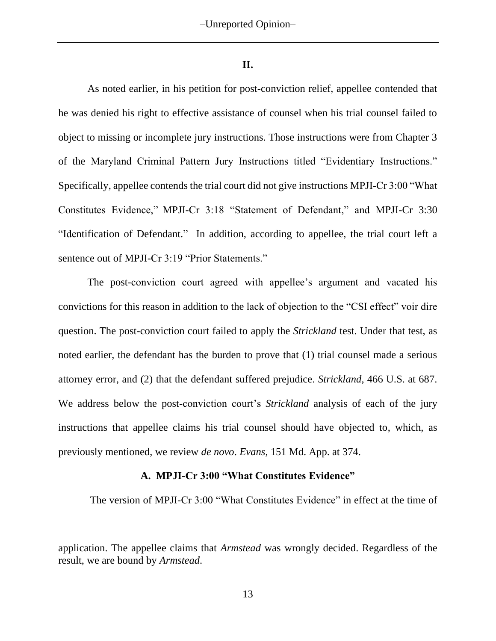#### **II.**

As noted earlier, in his petition for post-conviction relief, appellee contended that he was denied his right to effective assistance of counsel when his trial counsel failed to object to missing or incomplete jury instructions. Those instructions were from Chapter 3 of the Maryland Criminal Pattern Jury Instructions titled "Evidentiary Instructions." Specifically, appellee contends the trial court did not give instructions MPJI-Cr 3:00 "What Constitutes Evidence," MPJI-Cr 3:18 "Statement of Defendant," and MPJI-Cr 3:30 "Identification of Defendant." In addition, according to appellee, the trial court left a sentence out of MPJI-Cr 3:19 "Prior Statements."

The post-conviction court agreed with appellee's argument and vacated his convictions for this reason in addition to the lack of objection to the "CSI effect" voir dire question. The post-conviction court failed to apply the *Strickland* test. Under that test, as noted earlier, the defendant has the burden to prove that (1) trial counsel made a serious attorney error, and (2) that the defendant suffered prejudice. *Strickland*, 466 U.S. at 687. We address below the post-conviction court's *Strickland* analysis of each of the jury instructions that appellee claims his trial counsel should have objected to, which, as previously mentioned, we review *de novo*. *Evans*, 151 Md. App. at 374.

### **A. MPJI-Cr 3:00 "What Constitutes Evidence"**

The version of MPJI-Cr 3:00 "What Constitutes Evidence" in effect at the time of

application. The appellee claims that *Armstead* was wrongly decided. Regardless of the result, we are bound by *Armstead*.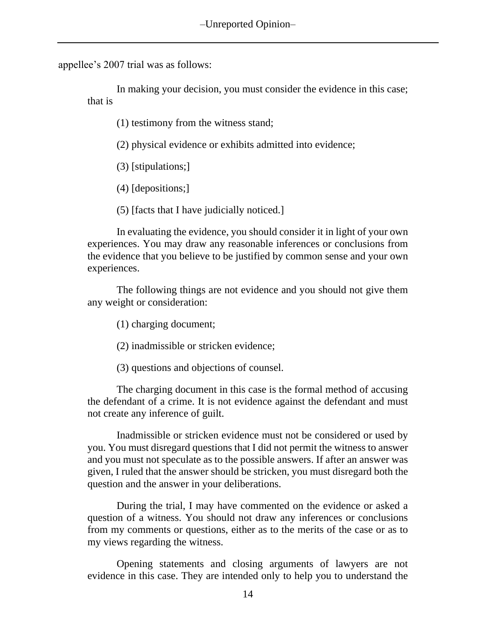appellee's 2007 trial was as follows:

In making your decision, you must consider the evidence in this case; that is

(1) testimony from the witness stand;

(2) physical evidence or exhibits admitted into evidence;

(3) [stipulations;]

(4) [depositions;]

(5) [facts that I have judicially noticed.]

In evaluating the evidence, you should consider it in light of your own experiences. You may draw any reasonable inferences or conclusions from the evidence that you believe to be justified by common sense and your own experiences.

The following things are not evidence and you should not give them any weight or consideration:

(1) charging document;

(2) inadmissible or stricken evidence;

(3) questions and objections of counsel.

The charging document in this case is the formal method of accusing the defendant of a crime. It is not evidence against the defendant and must not create any inference of guilt.

Inadmissible or stricken evidence must not be considered or used by you. You must disregard questions that I did not permit the witness to answer and you must not speculate as to the possible answers. If after an answer was given, I ruled that the answer should be stricken, you must disregard both the question and the answer in your deliberations.

During the trial, I may have commented on the evidence or asked a question of a witness. You should not draw any inferences or conclusions from my comments or questions, either as to the merits of the case or as to my views regarding the witness.

Opening statements and closing arguments of lawyers are not evidence in this case. They are intended only to help you to understand the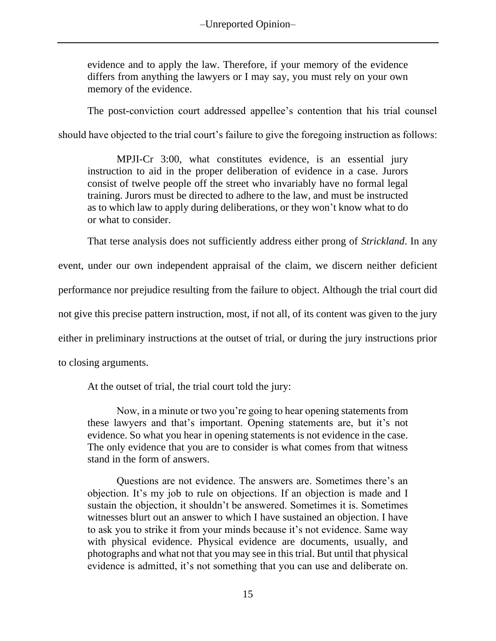evidence and to apply the law. Therefore, if your memory of the evidence differs from anything the lawyers or I may say, you must rely on your own memory of the evidence.

The post-conviction court addressed appellee's contention that his trial counsel

should have objected to the trial court's failure to give the foregoing instruction as follows:

MPJI-Cr 3:00, what constitutes evidence, is an essential jury instruction to aid in the proper deliberation of evidence in a case. Jurors consist of twelve people off the street who invariably have no formal legal training. Jurors must be directed to adhere to the law, and must be instructed as to which law to apply during deliberations, or they won't know what to do or what to consider.

That terse analysis does not sufficiently address either prong of *Strickland*. In any

event, under our own independent appraisal of the claim, we discern neither deficient performance nor prejudice resulting from the failure to object. Although the trial court did not give this precise pattern instruction, most, if not all, of its content was given to the jury either in preliminary instructions at the outset of trial, or during the jury instructions prior to closing arguments.

At the outset of trial, the trial court told the jury:

Now, in a minute or two you're going to hear opening statements from these lawyers and that's important. Opening statements are, but it's not evidence. So what you hear in opening statements is not evidence in the case. The only evidence that you are to consider is what comes from that witness stand in the form of answers.

Questions are not evidence. The answers are. Sometimes there's an objection. It's my job to rule on objections. If an objection is made and I sustain the objection, it shouldn't be answered. Sometimes it is. Sometimes witnesses blurt out an answer to which I have sustained an objection. I have to ask you to strike it from your minds because it's not evidence. Same way with physical evidence. Physical evidence are documents, usually, and photographs and what not that you may see in this trial. But until that physical evidence is admitted, it's not something that you can use and deliberate on.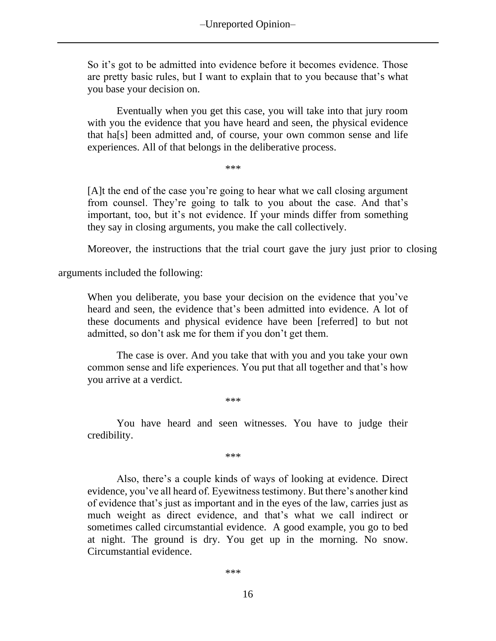So it's got to be admitted into evidence before it becomes evidence. Those are pretty basic rules, but I want to explain that to you because that's what you base your decision on.

Eventually when you get this case, you will take into that jury room with you the evidence that you have heard and seen, the physical evidence that ha[s] been admitted and, of course, your own common sense and life experiences. All of that belongs in the deliberative process.

\*\*\*

[A]t the end of the case you're going to hear what we call closing argument from counsel. They're going to talk to you about the case. And that's important, too, but it's not evidence. If your minds differ from something they say in closing arguments, you make the call collectively.

Moreover, the instructions that the trial court gave the jury just prior to closing

arguments included the following:

When you deliberate, you base your decision on the evidence that you've heard and seen, the evidence that's been admitted into evidence. A lot of these documents and physical evidence have been [referred] to but not admitted, so don't ask me for them if you don't get them.

The case is over. And you take that with you and you take your own common sense and life experiences. You put that all together and that's how you arrive at a verdict.

\*\*\*

You have heard and seen witnesses. You have to judge their credibility.

\*\*\*

Also, there's a couple kinds of ways of looking at evidence. Direct evidence, you've all heard of. Eyewitness testimony. But there's another kind of evidence that's just as important and in the eyes of the law, carries just as much weight as direct evidence, and that's what we call indirect or sometimes called circumstantial evidence. A good example, you go to bed at night. The ground is dry. You get up in the morning. No snow. Circumstantial evidence.

\*\*\*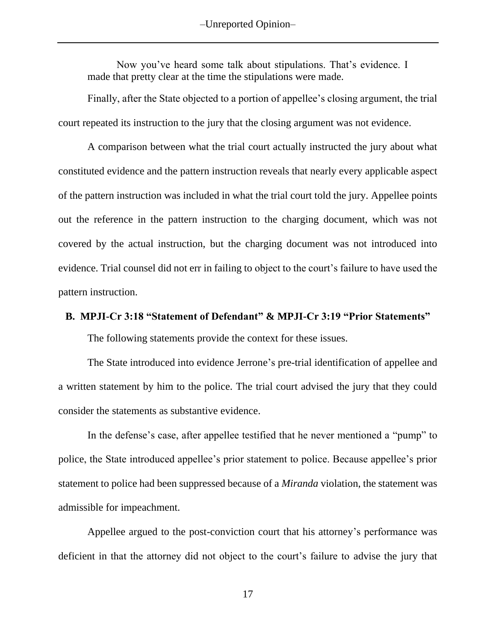Now you've heard some talk about stipulations. That's evidence. I made that pretty clear at the time the stipulations were made.

Finally, after the State objected to a portion of appellee's closing argument, the trial court repeated its instruction to the jury that the closing argument was not evidence.

A comparison between what the trial court actually instructed the jury about what constituted evidence and the pattern instruction reveals that nearly every applicable aspect of the pattern instruction was included in what the trial court told the jury. Appellee points out the reference in the pattern instruction to the charging document, which was not covered by the actual instruction, but the charging document was not introduced into evidence. Trial counsel did not err in failing to object to the court's failure to have used the pattern instruction.

### **B. MPJI-Cr 3:18 "Statement of Defendant" & MPJI-Cr 3:19 "Prior Statements"**

The following statements provide the context for these issues.

The State introduced into evidence Jerrone's pre-trial identification of appellee and a written statement by him to the police. The trial court advised the jury that they could consider the statements as substantive evidence.

In the defense's case, after appellee testified that he never mentioned a "pump" to police, the State introduced appellee's prior statement to police. Because appellee's prior statement to police had been suppressed because of a *Miranda* violation, the statement was admissible for impeachment.

Appellee argued to the post-conviction court that his attorney's performance was deficient in that the attorney did not object to the court's failure to advise the jury that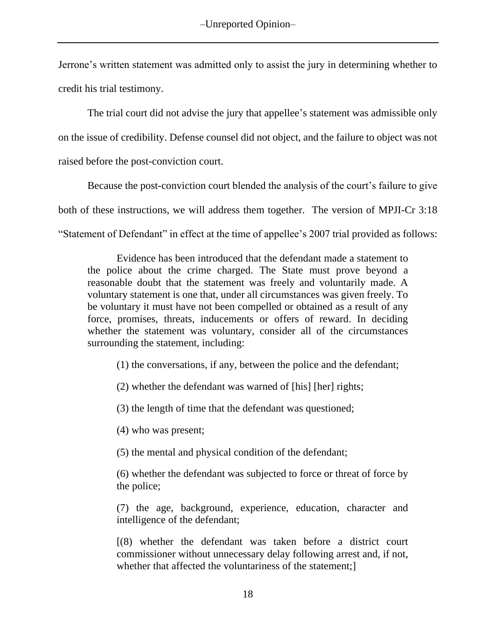Jerrone's written statement was admitted only to assist the jury in determining whether to credit his trial testimony.

The trial court did not advise the jury that appellee's statement was admissible only on the issue of credibility. Defense counsel did not object, and the failure to object was not raised before the post-conviction court.

Because the post-conviction court blended the analysis of the court's failure to give both of these instructions, we will address them together. The version of MPJI-Cr 3:18 "Statement of Defendant" in effect at the time of appellee's 2007 trial provided as follows:

Evidence has been introduced that the defendant made a statement to the police about the crime charged. The State must prove beyond a reasonable doubt that the statement was freely and voluntarily made. A voluntary statement is one that, under all circumstances was given freely. To be voluntary it must have not been compelled or obtained as a result of any force, promises, threats, inducements or offers of reward. In deciding whether the statement was voluntary, consider all of the circumstances surrounding the statement, including:

- (1) the conversations, if any, between the police and the defendant;
- (2) whether the defendant was warned of [his] [her] rights;
- (3) the length of time that the defendant was questioned;
- (4) who was present;
- (5) the mental and physical condition of the defendant;

(6) whether the defendant was subjected to force or threat of force by the police;

(7) the age, background, experience, education, character and intelligence of the defendant;

[(8) whether the defendant was taken before a district court commissioner without unnecessary delay following arrest and, if not, whether that affected the voluntariness of the statement;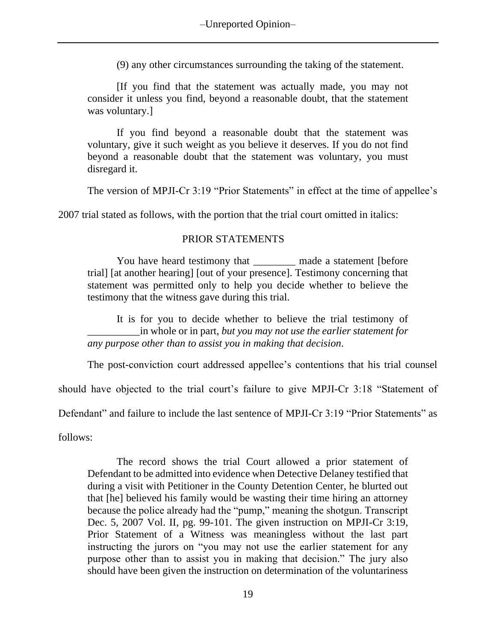(9) any other circumstances surrounding the taking of the statement.

[If you find that the statement was actually made, you may not consider it unless you find, beyond a reasonable doubt, that the statement was voluntary.]

If you find beyond a reasonable doubt that the statement was voluntary, give it such weight as you believe it deserves. If you do not find beyond a reasonable doubt that the statement was voluntary, you must disregard it.

The version of MPJI-Cr 3:19 "Prior Statements" in effect at the time of appellee's

2007 trial stated as follows, with the portion that the trial court omitted in italics:

## PRIOR STATEMENTS

You have heard testimony that \_\_\_\_\_\_\_\_ made a statement [before trial] [at another hearing] [out of your presence]. Testimony concerning that statement was permitted only to help you decide whether to believe the testimony that the witness gave during this trial.

It is for you to decide whether to believe the trial testimony of \_\_\_\_\_\_\_\_\_\_in whole or in part, *but you may not use the earlier statement for any purpose other than to assist you in making that decision*.

The post-conviction court addressed appellee's contentions that his trial counsel

should have objected to the trial court's failure to give MPJI-Cr 3:18 "Statement of

Defendant" and failure to include the last sentence of MPJI-Cr 3:19 "Prior Statements" as

follows:

The record shows the trial Court allowed a prior statement of Defendant to be admitted into evidence when Detective Delaney testified that during a visit with Petitioner in the County Detention Center, he blurted out that [he] believed his family would be wasting their time hiring an attorney because the police already had the "pump," meaning the shotgun. Transcript Dec. 5, 2007 Vol. II, pg. 99-101. The given instruction on MPJI-Cr 3:19, Prior Statement of a Witness was meaningless without the last part instructing the jurors on "you may not use the earlier statement for any purpose other than to assist you in making that decision." The jury also should have been given the instruction on determination of the voluntariness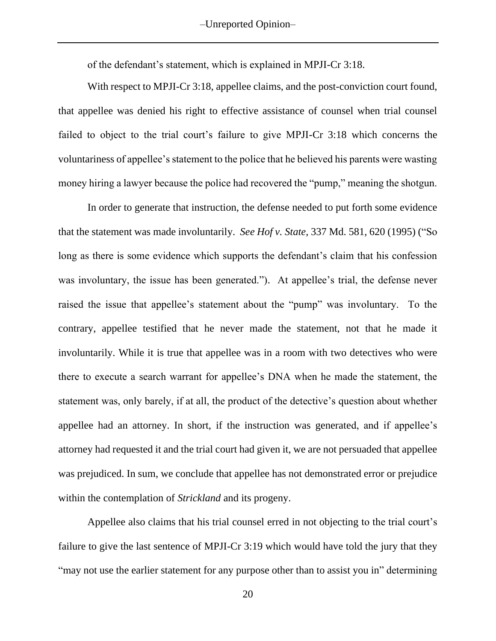-Unreported Opinion-

of the defendant's statement, which is explained in MPJI-Cr 3:18.

With respect to MPJI-Cr 3:18, appellee claims, and the post-conviction court found, that appellee was denied his right to effective assistance of counsel when trial counsel failed to object to the trial court's failure to give MPJI-Cr 3:18 which concerns the voluntariness of appellee's statement to the police that he believed his parents were wasting money hiring a lawyer because the police had recovered the "pump," meaning the shotgun.

In order to generate that instruction, the defense needed to put forth some evidence that the statement was made involuntarily. *See Hof v. State*, 337 Md. 581, 620 (1995) ("So long as there is some evidence which supports the defendant's claim that his confession was involuntary, the issue has been generated."). At appellee's trial, the defense never raised the issue that appellee's statement about the "pump" was involuntary. To the contrary, appellee testified that he never made the statement, not that he made it involuntarily. While it is true that appellee was in a room with two detectives who were there to execute a search warrant for appellee's DNA when he made the statement, the statement was, only barely, if at all, the product of the detective's question about whether appellee had an attorney. In short, if the instruction was generated, and if appellee's attorney had requested it and the trial court had given it, we are not persuaded that appellee was prejudiced. In sum, we conclude that appellee has not demonstrated error or prejudice within the contemplation of *Strickland* and its progeny.

Appellee also claims that his trial counsel erred in not objecting to the trial court's failure to give the last sentence of MPJI-Cr 3:19 which would have told the jury that they "may not use the earlier statement for any purpose other than to assist you in" determining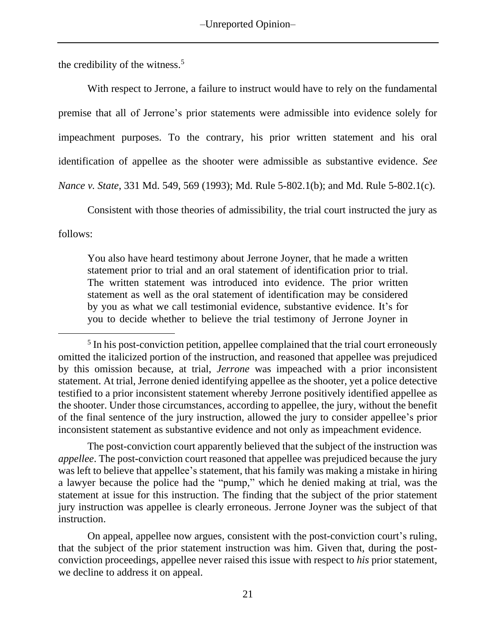the credibility of the witness.<sup>5</sup>

With respect to Jerrone, a failure to instruct would have to rely on the fundamental premise that all of Jerrone's prior statements were admissible into evidence solely for impeachment purposes. To the contrary, his prior written statement and his oral identification of appellee as the shooter were admissible as substantive evidence. *See Nance v. State*, 331 Md. 549, 569 (1993); Md. Rule 5-802.1(b); and Md. Rule 5-802.1(c).

Consistent with those theories of admissibility, the trial court instructed the jury as

follows:

You also have heard testimony about Jerrone Joyner, that he made a written statement prior to trial and an oral statement of identification prior to trial. The written statement was introduced into evidence. The prior written statement as well as the oral statement of identification may be considered by you as what we call testimonial evidence, substantive evidence. It's for you to decide whether to believe the trial testimony of Jerrone Joyner in

The post-conviction court apparently believed that the subject of the instruction was *appellee*. The post-conviction court reasoned that appellee was prejudiced because the jury was left to believe that appellee's statement, that his family was making a mistake in hiring a lawyer because the police had the "pump," which he denied making at trial, was the statement at issue for this instruction. The finding that the subject of the prior statement jury instruction was appellee is clearly erroneous. Jerrone Joyner was the subject of that instruction.

On appeal, appellee now argues, consistent with the post-conviction court's ruling, that the subject of the prior statement instruction was him. Given that, during the postconviction proceedings, appellee never raised this issue with respect to *his* prior statement, we decline to address it on appeal.

<sup>&</sup>lt;sup>5</sup> In his post-conviction petition, appellee complained that the trial court erroneously omitted the italicized portion of the instruction, and reasoned that appellee was prejudiced by this omission because, at trial, *Jerrone* was impeached with a prior inconsistent statement. At trial, Jerrone denied identifying appellee as the shooter, yet a police detective testified to a prior inconsistent statement whereby Jerrone positively identified appellee as the shooter. Under those circumstances, according to appellee, the jury, without the benefit of the final sentence of the jury instruction, allowed the jury to consider appellee's prior inconsistent statement as substantive evidence and not only as impeachment evidence.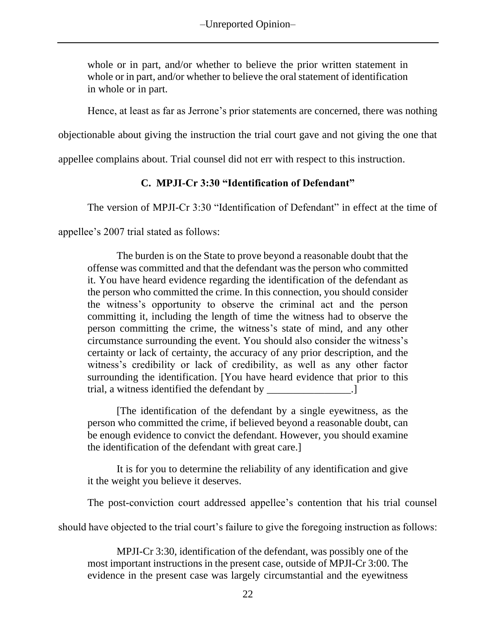whole or in part, and/or whether to believe the prior written statement in whole or in part, and/or whether to believe the oral statement of identification in whole or in part.

Hence, at least as far as Jerrone's prior statements are concerned, there was nothing

objectionable about giving the instruction the trial court gave and not giving the one that

appellee complains about. Trial counsel did not err with respect to this instruction.

# **C. MPJI-Cr 3:30 "Identification of Defendant"**

The version of MPJI-Cr 3:30 "Identification of Defendant" in effect at the time of

appellee's 2007 trial stated as follows:

The burden is on the State to prove beyond a reasonable doubt that the offense was committed and that the defendant was the person who committed it. You have heard evidence regarding the identification of the defendant as the person who committed the crime. In this connection, you should consider the witness's opportunity to observe the criminal act and the person committing it, including the length of time the witness had to observe the person committing the crime, the witness's state of mind, and any other circumstance surrounding the event. You should also consider the witness's certainty or lack of certainty, the accuracy of any prior description, and the witness's credibility or lack of credibility, as well as any other factor surrounding the identification. [You have heard evidence that prior to this trial, a witness identified the defendant by \_\_\_\_\_\_\_\_\_\_\_\_\_\_\_\_\_.]

[The identification of the defendant by a single eyewitness, as the person who committed the crime, if believed beyond a reasonable doubt, can be enough evidence to convict the defendant. However, you should examine the identification of the defendant with great care.]

It is for you to determine the reliability of any identification and give it the weight you believe it deserves.

The post-conviction court addressed appellee's contention that his trial counsel

should have objected to the trial court's failure to give the foregoing instruction as follows:

MPJI-Cr 3:30, identification of the defendant, was possibly one of the most important instructions in the present case, outside of MPJI-Cr 3:00. The evidence in the present case was largely circumstantial and the eyewitness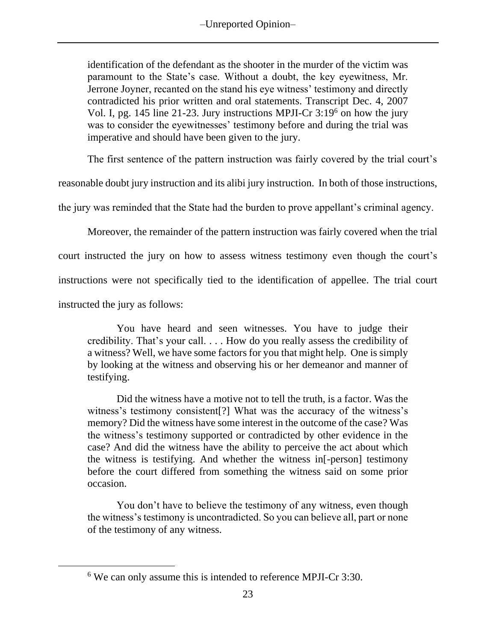identification of the defendant as the shooter in the murder of the victim was paramount to the State's case. Without a doubt, the key eyewitness, Mr. Jerrone Joyner, recanted on the stand his eye witness' testimony and directly contradicted his prior written and oral statements. Transcript Dec. 4, 2007 Vol. I, pg. 145 line 21-23. Jury instructions MPJI-Cr 3:19<sup>6</sup> on how the jury was to consider the eyewitnesses' testimony before and during the trial was imperative and should have been given to the jury.

The first sentence of the pattern instruction was fairly covered by the trial court's

reasonable doubt jury instruction and its alibi jury instruction. In both of those instructions,

the jury was reminded that the State had the burden to prove appellant's criminal agency.

Moreover, the remainder of the pattern instruction was fairly covered when the trial court instructed the jury on how to assess witness testimony even though the court's instructions were not specifically tied to the identification of appellee. The trial court instructed the jury as follows:

You have heard and seen witnesses. You have to judge their credibility. That's your call. . . . How do you really assess the credibility of a witness? Well, we have some factors for you that might help. One is simply by looking at the witness and observing his or her demeanor and manner of testifying.

Did the witness have a motive not to tell the truth, is a factor. Was the witness's testimony consistent[?] What was the accuracy of the witness's memory? Did the witness have some interest in the outcome of the case? Was the witness's testimony supported or contradicted by other evidence in the case? And did the witness have the ability to perceive the act about which the witness is testifying. And whether the witness in[-person] testimony before the court differed from something the witness said on some prior occasion.

You don't have to believe the testimony of any witness, even though the witness's testimony is uncontradicted. So you can believe all, part or none of the testimony of any witness.

<sup>6</sup> We can only assume this is intended to reference MPJI-Cr 3:30.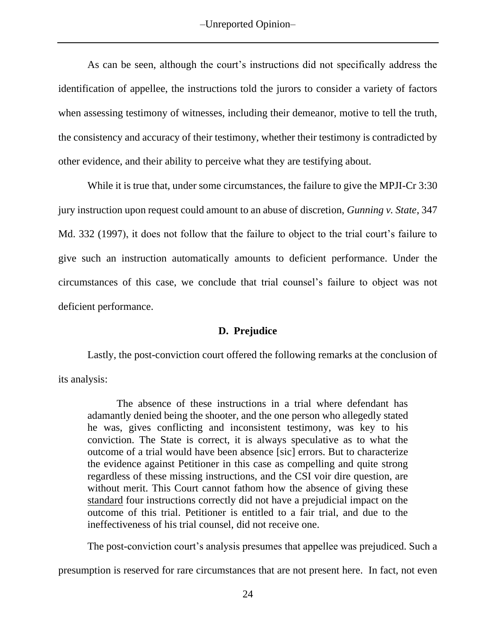As can be seen, although the court's instructions did not specifically address the identification of appellee, the instructions told the jurors to consider a variety of factors when assessing testimony of witnesses, including their demeanor, motive to tell the truth, the consistency and accuracy of their testimony, whether their testimony is contradicted by other evidence, and their ability to perceive what they are testifying about.

While it is true that, under some circumstances, the failure to give the MPJI-Cr 3:30 jury instruction upon request could amount to an abuse of discretion, *Gunning v. State*, 347 Md. 332 (1997), it does not follow that the failure to object to the trial court's failure to give such an instruction automatically amounts to deficient performance. Under the circumstances of this case, we conclude that trial counsel's failure to object was not deficient performance.

## **D. Prejudice**

Lastly, the post-conviction court offered the following remarks at the conclusion of

its analysis:

The absence of these instructions in a trial where defendant has adamantly denied being the shooter, and the one person who allegedly stated he was, gives conflicting and inconsistent testimony, was key to his conviction. The State is correct, it is always speculative as to what the outcome of a trial would have been absence [sic] errors. But to characterize the evidence against Petitioner in this case as compelling and quite strong regardless of these missing instructions, and the CSI voir dire question, are without merit. This Court cannot fathom how the absence of giving these standard four instructions correctly did not have a prejudicial impact on the outcome of this trial. Petitioner is entitled to a fair trial, and due to the ineffectiveness of his trial counsel, did not receive one.

The post-conviction court's analysis presumes that appellee was prejudiced. Such a

presumption is reserved for rare circumstances that are not present here. In fact, not even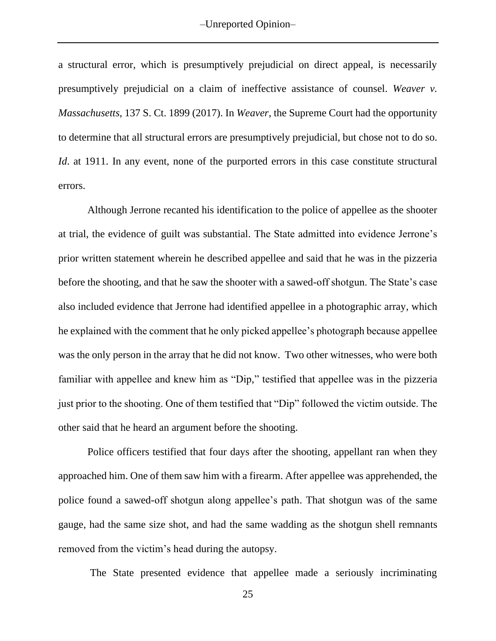a structural error, which is presumptively prejudicial on direct appeal, is necessarily presumptively prejudicial on a claim of ineffective assistance of counsel. *Weaver v. Massachusetts*, 137 S. Ct. 1899 (2017). In *Weaver*, the Supreme Court had the opportunity to determine that all structural errors are presumptively prejudicial, but chose not to do so. *Id.* at 1911. In any event, none of the purported errors in this case constitute structural errors.

Although Jerrone recanted his identification to the police of appellee as the shooter at trial, the evidence of guilt was substantial. The State admitted into evidence Jerrone's prior written statement wherein he described appellee and said that he was in the pizzeria before the shooting, and that he saw the shooter with a sawed-off shotgun. The State's case also included evidence that Jerrone had identified appellee in a photographic array, which he explained with the comment that he only picked appellee's photograph because appellee was the only person in the array that he did not know. Two other witnesses, who were both familiar with appellee and knew him as "Dip," testified that appellee was in the pizzeria just prior to the shooting. One of them testified that "Dip" followed the victim outside. The other said that he heard an argument before the shooting.

Police officers testified that four days after the shooting, appellant ran when they approached him. One of them saw him with a firearm. After appellee was apprehended, the police found a sawed-off shotgun along appellee's path. That shotgun was of the same gauge, had the same size shot, and had the same wadding as the shotgun shell remnants removed from the victim's head during the autopsy.

The State presented evidence that appellee made a seriously incriminating